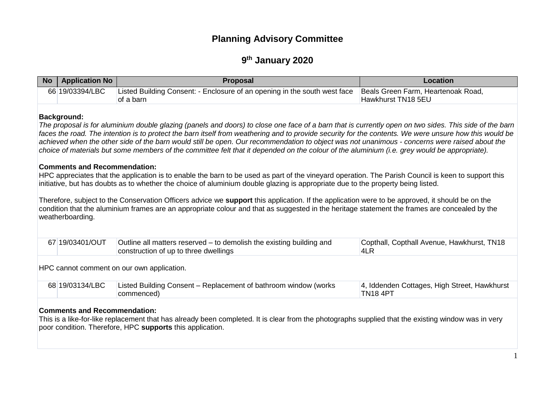# **Planning Advisory Committee**

## **9 th January 2020**

| No. | <b>Application No</b>                                                         | <b>Proposal</b>                                                                                                                                                                                                                                                                                                                                                                                                                                                                                                                                                                                                                                                                                                                                                                                                                                                                                                                                                                                                                                                                                                                                                                                                  | Location                                                        |  |
|-----|-------------------------------------------------------------------------------|------------------------------------------------------------------------------------------------------------------------------------------------------------------------------------------------------------------------------------------------------------------------------------------------------------------------------------------------------------------------------------------------------------------------------------------------------------------------------------------------------------------------------------------------------------------------------------------------------------------------------------------------------------------------------------------------------------------------------------------------------------------------------------------------------------------------------------------------------------------------------------------------------------------------------------------------------------------------------------------------------------------------------------------------------------------------------------------------------------------------------------------------------------------------------------------------------------------|-----------------------------------------------------------------|--|
|     | 66 19/03394/LBC                                                               | Listed Building Consent: - Enclosure of an opening in the south west face<br>of a barn                                                                                                                                                                                                                                                                                                                                                                                                                                                                                                                                                                                                                                                                                                                                                                                                                                                                                                                                                                                                                                                                                                                           | Beals Green Farm, Heartenoak Road,<br>Hawkhurst TN18 5EU        |  |
|     | <b>Background:</b><br><b>Comments and Recommendation:</b><br>weatherboarding. | The proposal is for aluminium double glazing (panels and doors) to close one face of a barn that is currently open on two sides. This side of the barn<br>faces the road. The intention is to protect the barn itself from weathering and to provide security for the contents. We were unsure how this would be<br>achieved when the other side of the barn would still be open. Our recommendation to object was not unanimous - concerns were raised about the<br>choice of materials but some members of the committee felt that it depended on the colour of the aluminium (i.e. grey would be appropriate).<br>HPC appreciates that the application is to enable the barn to be used as part of the vineyard operation. The Parish Council is keen to support this<br>initiative, but has doubts as to whether the choice of aluminium double glazing is appropriate due to the property being listed.<br>Therefore, subject to the Conservation Officers advice we support this application. If the application were to be approved, it should be on the<br>condition that the aluminium frames are an appropriate colour and that as suggested in the heritage statement the frames are concealed by the |                                                                 |  |
|     | 67 19/03401/OUT                                                               | Outline all matters reserved – to demolish the existing building and<br>construction of up to three dwellings                                                                                                                                                                                                                                                                                                                                                                                                                                                                                                                                                                                                                                                                                                                                                                                                                                                                                                                                                                                                                                                                                                    | Copthall, Copthall Avenue, Hawkhurst, TN18<br>4LR               |  |
|     |                                                                               | HPC cannot comment on our own application.                                                                                                                                                                                                                                                                                                                                                                                                                                                                                                                                                                                                                                                                                                                                                                                                                                                                                                                                                                                                                                                                                                                                                                       |                                                                 |  |
|     | 68 19/03134/LBC                                                               | Listed Building Consent – Replacement of bathroom window (works<br>commenced)                                                                                                                                                                                                                                                                                                                                                                                                                                                                                                                                                                                                                                                                                                                                                                                                                                                                                                                                                                                                                                                                                                                                    | 4, Iddenden Cottages, High Street, Hawkhurst<br><b>TN18 4PT</b> |  |

#### **Comments and Recommendation:**

This is a like-for-like replacement that has already been completed. It is clear from the photographs supplied that the existing window was in very poor condition. Therefore, HPC **supports** this application.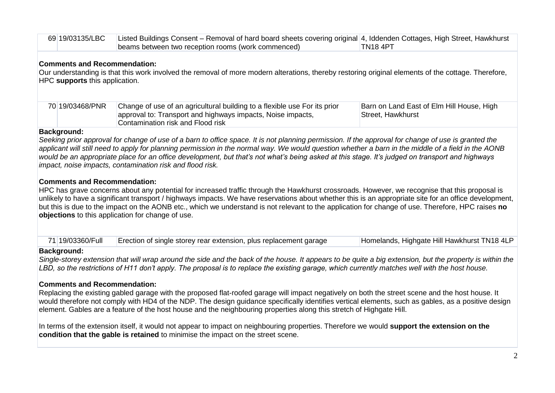| 69 19/03135/LBC | Listed Buildings Consent – Removal of hard board sheets covering original  4, Iddenden Cottages, High Street, Hawkhurst |          |
|-----------------|-------------------------------------------------------------------------------------------------------------------------|----------|
|                 | beams between two reception rooms (work commenced)                                                                      | TN18 4PT |

#### **Comments and Recommendation:**

Our understanding is that this work involved the removal of more modern alterations, thereby restoring original elements of the cottage. Therefore, HPC **supports** this application.

| 70 19/03468/PNR | Change of use of an agricultural building to a flexible use For its prior | Barn on Land East of Elm Hill House, High |
|-----------------|---------------------------------------------------------------------------|-------------------------------------------|
|                 | approval to: Transport and highways impacts, Noise impacts,               | Street, Hawkhurst                         |
|                 | Contamination risk and Flood risk                                         |                                           |

#### **Background:**

*Seeking prior approval for change of use of a barn to office space. It is not planning permission. If the approval for change of use is granted the*  applicant will still need to apply for planning permission in the normal way. We would question whether a barn in the middle of a field in the AONB *would be an appropriate place for an office development, but that's not what's being asked at this stage. It's judged on transport and highways impact, noise impacts, contamination risk and flood risk.*

#### **Comments and Recommendation:**

HPC has grave concerns about any potential for increased traffic through the Hawkhurst crossroads. However, we recognise that this proposal is unlikely to have a significant transport / highways impacts. We have reservations about whether this is an appropriate site for an office development, but this is due to the impact on the AONB etc., which we understand is not relevant to the application for change of use. Therefore, HPC raises **no objections** to this application for change of use.

| 71 19/03360/Full | Erection of single storey rear extension, plus replacement garage | Homelands, Highgate Hill Hawkhurst TN18 4LP |
|------------------|-------------------------------------------------------------------|---------------------------------------------|
|------------------|-------------------------------------------------------------------|---------------------------------------------|

#### **Background:**

*Single-storey extension that will wrap around the side and the back of the house. It appears to be quite a big extension, but the property is within the LBD, so the restrictions of H11 don't apply. The proposal is to replace the existing garage, which currently matches well with the host house.*

#### **Comments and Recommendation:**

Replacing the existing gabled garage with the proposed flat-roofed garage will impact negatively on both the street scene and the host house. It would therefore not comply with HD4 of the NDP. The design guidance specifically identifies vertical elements, such as gables, as a positive design element. Gables are a feature of the host house and the neighbouring properties along this stretch of Highgate Hill.

In terms of the extension itself, it would not appear to impact on neighbouring properties. Therefore we would **support the extension on the condition that the gable is retained** to minimise the impact on the street scene.